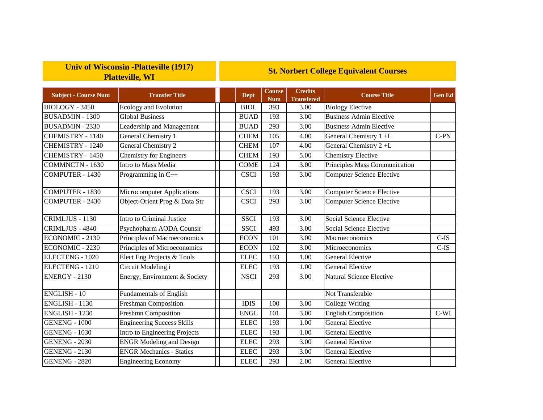## **Univ of Wisconsin -Platteville (1917) Platteville, WI**

## **St. Norbert College Equivalent Courses**

| <b>Subject - Course Num</b> | <b>Transfer Title</b>             | <b>Dept</b> | <b>Course</b><br><b>Num</b> | <b>Credits</b><br><b>Transfered</b> | <b>Course Title</b>              | <b>Gen Ed</b> |
|-----------------------------|-----------------------------------|-------------|-----------------------------|-------------------------------------|----------------------------------|---------------|
| BIOLOGY - 3450              | <b>Ecology and Evolution</b>      | <b>BIOL</b> | 393                         | 3.00                                | <b>Biology Elective</b>          |               |
| <b>BUSADMIN - 1300</b>      | <b>Global Business</b>            | <b>BUAD</b> | 193                         | 3.00                                | <b>Business Admin Elective</b>   |               |
| <b>BUSADMIN - 2330</b>      | Leadership and Management         | <b>BUAD</b> | 293                         | 3.00                                | <b>Business Admin Elective</b>   |               |
| <b>CHEMISTRY - 1140</b>     | General Chemistry 1               | <b>CHEM</b> | 105                         | 4.00                                | General Chemistry 1 +L           | $C-PN$        |
| <b>CHEMISTRY - 1240</b>     | General Chemistry 2               | <b>CHEM</b> | 107                         | 4.00                                | General Chemistry 2+L            |               |
| CHEMISTRY - 1450            | <b>Chemistry for Engineers</b>    | <b>CHEM</b> | 193                         | 5.00                                | <b>Chemistry Elective</b>        |               |
| <b>COMMNCTN - 1630</b>      | Intro to Mass Media               | <b>COME</b> | 124                         | 3.00                                | Principles Mass Communication    |               |
| <b>COMPUTER - 1430</b>      | Programming in $C++$              | <b>CSCI</b> | 193                         | 3.00                                | <b>Computer Science Elective</b> |               |
| <b>COMPUTER - 1830</b>      | <b>Microcomputer Applications</b> | <b>CSCI</b> | 193                         | 3.00                                | <b>Computer Science Elective</b> |               |
| <b>COMPUTER - 2430</b>      | Object-Orient Prog & Data Str     | <b>CSCI</b> | 293                         | 3.00                                | <b>Computer Science Elective</b> |               |
| CRIMLJUS - 1130             | Intro to Criminal Justice         | <b>SSCI</b> | 193                         | 3.00                                | Social Science Elective          |               |
| CRIMLJUS - 4840             | Psychopharm AODA Counslr          | <b>SSCI</b> | 493                         | 3.00                                | Social Science Elective          |               |
| <b>ECONOMIC - 2130</b>      | Principles of Macroeconomics      | <b>ECON</b> | 101                         | 3.00                                | Macroeconomics                   | $C$ -IS       |
| <b>ECONOMIC - 2230</b>      | Principles of Microeconomics      | <b>ECON</b> | 102                         | 3.00                                | Microeconomics                   | $C$ -IS       |
| ELECTENG - 1020             | Elect Eng Projects & Tools        | <b>ELEC</b> | 193                         | 1.00                                | <b>General Elective</b>          |               |
| ELECTENG - 1210             | Circuit Modeling i                | <b>ELEC</b> | 193                         | 1.00                                | <b>General Elective</b>          |               |
| ENERGY - 2130               | Energy, Environment & Society     | <b>NSCI</b> | 293                         | 3.00                                | <b>Natural Science Elective</b>  |               |
| <b>ENGLISH - 10</b>         | <b>Fundamentals of English</b>    |             |                             |                                     | Not Transferable                 |               |
| ENGLISH - 1130              | <b>Freshman Composition</b>       | <b>IDIS</b> | 100                         | 3.00                                | <b>College Writing</b>           |               |
| <b>ENGLISH - 1230</b>       | <b>Freshmn Composition</b>        | <b>ENGL</b> | 101                         | 3.00                                | <b>English Composition</b>       | $C-WI$        |
| <b>GENENG - 1000</b>        | <b>Engineering Success Skills</b> | <b>ELEC</b> | 193                         | 1.00                                | <b>General Elective</b>          |               |
| <b>GENENG - 1030</b>        | Intro to Engineering Projects     | <b>ELEC</b> | 193                         | 1.00                                | <b>General Elective</b>          |               |
| <b>GENENG - 2030</b>        | <b>ENGR Modeling and Design</b>   | <b>ELEC</b> | 293                         | 3.00                                | <b>General Elective</b>          |               |
| <b>GENENG - 2130</b>        | <b>ENGR</b> Mechanics - Statics   | <b>ELEC</b> | 293                         | 3.00                                | <b>General Elective</b>          |               |
| <b>GENENG - 2820</b>        | <b>Engineering Economy</b>        | <b>ELEC</b> | 293                         | 2.00                                | General Elective                 |               |